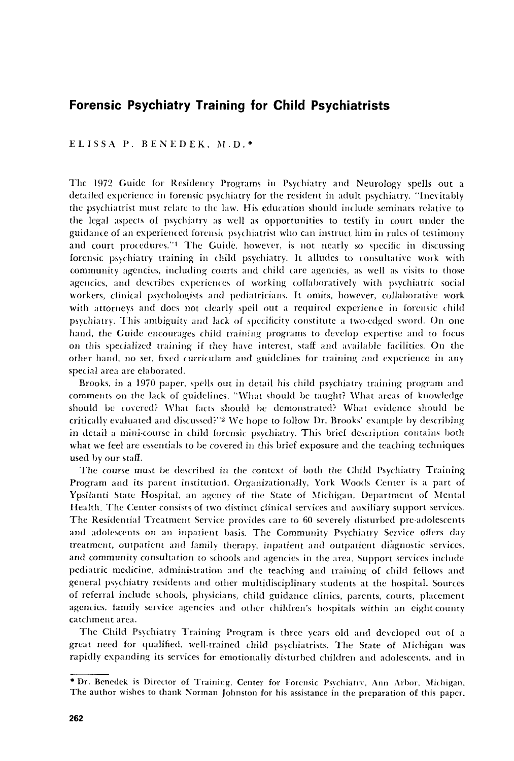## **Forensic Psychiatry Training for Child Psychiatrists**

ELISSA P. BENEDEK, M.D.\*

The 1972 Guide for Residency Programs in Psychiatry and Neurology spells out a detailed experience in forensic psychiatry for the resident in adult psychiatry. "Inevitably the psychiatrist must relate to the law. His education should include seminars relative to the legal aspects of psychiatry as well as opportunities to testify in court under the guidance of an experienced forensic psychiatrist who can instruct him in rules of testimony and court procedures."<sup>1</sup> The Guide, however, is not nearly so specific in discussing forensic psychiatry training in child psychiatry. It alludes to consultative work with community agencies, including courts and child care agencies, as well as visits to those agencies, and describes experiences of working collaboratively with psychiatric social workers, clinical psychologists and pediatricians. It omits, however, collaborative work with attorneys and does not clearly spell out a required experience in forensic child psychiatry. This ambiguity and lack of specificity constitute a two-edged sword. On one hand, the Guide encourages child training programs to develop expertise and to focus on this specialized training if they have interest, staff and available facilities. On the other hand, no set, fixed curriculum and guidelines for training and experience in any special area are elaborated.

Brooks, in a 1970 paper, spells out in detail his child psychiatry training program and comments on the lack of guidelines. "What should be taught? What areas of knowledge should be covered? What facts should be demonstrated? What evidence should be critically evaluated and discussed?"<sup>2</sup> We hope to follow Dr. Brooks' example by describing in detail a mini-course in child forensic psychiatry. This brief description contains both what we feel are essentials to be covered in this brief exposure and the teaching techniques used by our staff.

The course must be described in the context of both the Child Psychiatry Training Program and its parent institution. Organizationally, York Woods Center is a part of Ypsilanti State Hospital, an agency of the State of Michigan, Department of Mental Health. The Center consists of two distinct clinical services and auxiliary support services. The Residential Treatment Service provides care to 60 severely disturbed pre-adolescents and adolescents on an inpatient basis. The Community Psychiatry Service offers day treatment, outpatient and family therapy, inpatient and outpatient diagnostic services, and community consultation to schools and agencies in the area. Support services include pediatric medicine, administration and the teaching and training of child fellows and general psychiatry residents and other multidisciplinary students at the hospital. Sources of referral include schools, physicians, child guidance clinics, parents, courts, placement agencies, family service agencies and other children's hospitals within an eight-county catchment area.

The Child Psychiatry Training Program is three years old and developed out of a great need for qualified, well-trained child psychiatrists. The State of Michigan was rapidly expanding its services for emotionally disturbed children and adolescents, and in

<sup>\*</sup> Dr. Benedek is Director of Training, Center for Forensic Psychiatry, Ann Arbor, Michigan, The author wishes to thank Norman Johnston for his assistance in the preparation of this paper.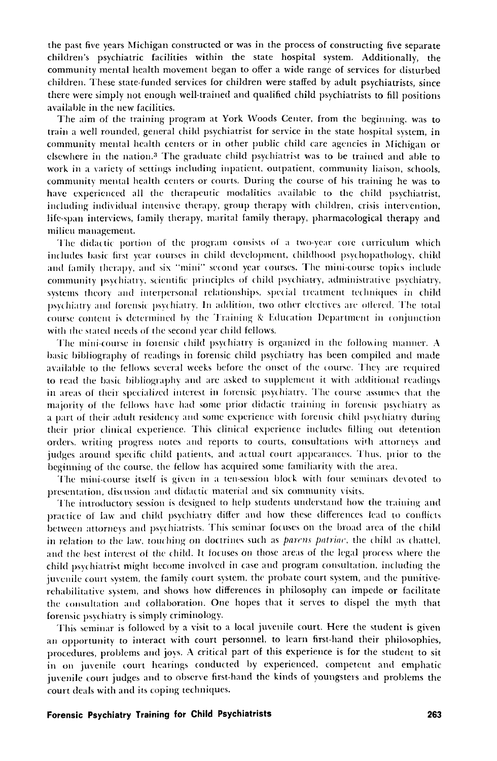the past five years Michigan constructed or was in the process of constructing five separate children's psychiatric facilities within the state hospital system. Additionally, the community mental health movement began to offer a wide range of services for disturbed children. These state-funded services for children were staffed by adult psychiatrists, since there were simply not enough well-trained and qualified child psychiatrists to fill positions available in the new facilities.

The aim of the training program at York Woods Center, from the beginning, was to train a well rounded, general child psychiatrist for service in the state hospital system, in community mental health centers or in other public child care agencies in Michigan or elsewhere in the nation.<sup>3</sup> The graduate child psychiatrist was to be trained and able to work in a variety of settings including inpatient, outpatient, community liaison, schools, community mental health centers or courts. During the course of his training he was to have experienced all the therapeutic modalities available to the child psychiatrist. including individual intensive therapy, group therapy with children, crisis intervention, life-span interviews, family therapy, marital family therapy, pharmacological therapy and milieu management.

The didactic portion of the program consists of a two-year core curriculum which includes basic first year courses in child development, childhood psychopathology, child and family therapy, and six "mini" second year courses. The mini-course topics include community psychiatry, scientific principles of child psychiatry, administrative psychiatry, systems theory and interpersonal relationships, special treatment techniques in child psychiatry and forensic psychiatry. In addition, two other electives are offered. The total course content is determined by the Training & Education Department in conjunction with the stated needs of the second year child fellows.

The mini-course in forensic child psychiatry is organized in the following manner. A basic bibliography of readings in forensic child psychiatry has been compiled and made available to the fellows several weeks before the onset of the course. They are required to read the basic bibliography and are asked to supplement it with additional readings in areas of their specialized interest in forensic psychiatry. The course assumes that the majority of the fellows have had some prior didactic training in forensic psychiatry as a part of their adult residency and some experience with forensic child psychiatry during their prior clinical experience. This clinical experience includes filling out detention orders, writing progress notes and reports to courts, consultations with attorneys and judges around specific child patients, and actual court appearances. Thus, prior to the beginning of the course, the fellow has acquired some familiarity with the area.

The mini-course itself is given in a ten-session block with four seminars devoted to presentation, discussion and didactic material and six community visits.

The introductory session is designed to help students understand how the training and practice of law and child psychiatry differ and how these differences lead to conflicts between attorneys and psychiatrists. This seminar focuses on the broad area of the child in relation to the law, touching on doctrines such as *parens patriae*, the child as chattel, and the best interest of the child. It focuses on those areas of the legal process where the child psychiatrist might become involved in case and program consultation, including the juvenile court system, the family court system, the probate court system, and the punitiverehabilitative system, and shows how differences in philosophy can impede or facilitate the consultation and collaboration. One hopes that it serves to dispel the myth that forensic psychiatry is simply criminology.

This seminar is followed by a visit to a local juvenile court. Here the student is given an opportunity to interact with court personnel, to learn first-hand their philosophies, procedures, problems and joys. A critical part of this experience is for the student to sit in on juvenile court hearings conducted by experienced, competent and emphatic juvenile court judges and to observe first-hand the kinds of youngsters and problems the court deals with and its coping techniques.

## Forensic Psychiatry Training for Child Psychiatrists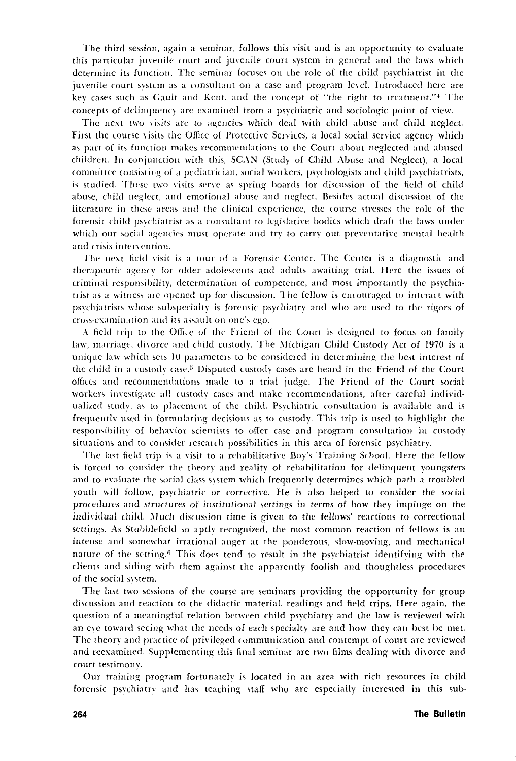The third session, again a seminar, follows this visit and is an opportunity to evaluate this particular juvenile court and juvenile court system in general and the laws which determine its function. The seminar focuses on the role of the child psychiatrist in the juvenile court system as a consultant on a case and program level. Introduced here are key cases such as Gault and Kent, and the concept of "the right to treatment."4 The concepts of delinquency are examined from a psychiatric and sociologic point of view.

The next two visits are to agencies which deal with child abuse and child neglect. First the course visits the Office of Protective Services, a local social service agency which as part of its function makes recommendations to the Court about neglected and abused children. In conjunction with this, SCAN (Study of Child Abuse and Neglect), a local committee consisting of a pediatrician, social workers, psychologists and child psychiatrists, is studied. These two visits serve as spring boards for discussion of the field of child abuse, child neglect, and emotional abuse and neglect. Besides actual discussion of the literature in these areas and the clinical experience, the (ourse stresses the role of the forensic child psychiatrist as a consultant to legislative bodies which draft the laws under which our social agencies must operate and try to carry out preventative mental health and crisis intervention.

The next field visit is a tour of a Forensic Center. The Center is a diagnostic and therapeutic agency for older adolescents and adults awaiting trial. Here the issues of criminal responsibility, determination of competence, and most importantly the psychiatrist as a witness are opened up for discussion. The fellow is encouraged to interact with psychiatrists whose subspecialty is forensic psychiatry and who are used to the rigors of cross-examination and its assault on one's ego.

. \ field trip to the Offi,e of the Friend of the Court is designed to focus on family law, marriage, divorce and child custody. The Michigan Child Custody Act of 1970 is a unique law which sets 10 parameters to be considered in determining the best interest of the child in a custody case.<sup>5</sup> Disputed custody cases are heard in the Friend of the Court offices and recommendations made to a trial judge. The Friend of the Court social workers investigate all custody cases and make recommendations, after careful individualized study, as to placement of the child. Psychiatric consultation is available and is frequentlv used in formulating decisions as to custody. This trip is used to highlight the responsibility of behavior scientists to offer case and program consultation in custody situations and to consider research possibilities in this area of forensic psychiatry.

The last field trip is a visit to a rehabilitative Boy's Training School. Here the fellow is forced to comider the theory and reality of rehabilitation for delinquent youngsters and to evaluate the social class system which frequently determines which path a troubled youth will follow, psychiatric or corrective. He is also helped to consider the social procedures and structures of imtitutional settings in terms of how they impinge on the individual child. Much discussion time is given to the fellows' reactions to correctional settings. As Stubblefield so aptly recognized, the most common reaction of fellows is an intense and somewhat irrational anger at the ponderous, slow-moving, and mechanical nature of the setting.<sup>6</sup> This does tend to result in the psychiatrist identifying with the clients and siding with them agaimt the apparently foolish and thoughtless procedures of the social system.

The last two sessions of the course are seminars providing the opportunity for group discussion and reaction to the didactic material, readings and field trips. Here again, the question of a meaningful relation between child psychiatry and the law is reviewed with an eve toward seeing what the needs of each specialty are and how they can best be met. The theory and practice of privileged communication and contempt of court are reviewed and reexamined. Supplementing this final seminar are two films dealing with divorce and court testimony.

Our training program fortunately is located in an area with rich resources in child forensic psychiatry and has teaching staff who are especially interested in this sub-